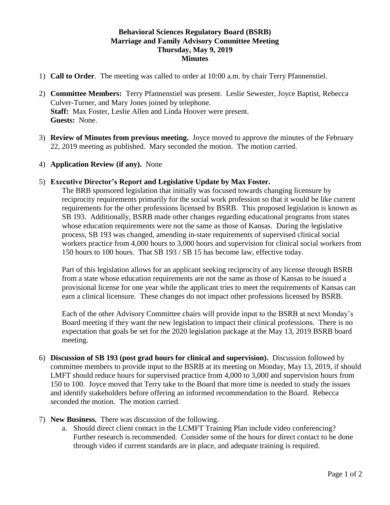## **Behavioral Sciences Regulatory Board (BSRB) Marriage and Family Advisory Committee Meeting Thursday, May 9, 2019 Minutes**

- 1) **Call to Order**. The meeting was called to order at 10:00 a.m. by chair Terry Pfannenstiel.
- 2) **Committee Members:** Terry Pfannenstiel was present. Leslie Sewester, Joyce Baptist, Rebecca Culver-Turner, and Mary Jones joined by telephone. **Staff:** Max Foster, Leslie Allen and Linda Hoover were present. **Guests:** None.
- 3) **Review of Minutes from previous meeting.** Joyce moved to approve the minutes of the February 22, 2019 meeting as published. Mary seconded the motion. The motion carried.
- 4) **Application Review (if any).** None

## 5) **Executive Director's Report and Legislative Update by Max Foster.**

The BRB sponsored legislation that initially was focused towards changing licensure by reciprocity requirements primarily for the social work profession so that it would be like current requirements for the other professions licensed by BSRB. This proposed legislation is known as SB 193. Additionally, BSRB made other changes regarding educational programs from states whose education requirements were not the same as those of Kansas. During the legislative process, SB 193 was changed, amending in-state requirements of supervised clinical social workers practice from 4,000 hours to 3,000 hours and supervision for clinical social workers from 150 hours to 100 hours. That SB 193 / SB 15 has become law, effective today.

Part of this legislation allows for an applicant seeking reciprocity of any license through BSRB from a state whose education requirements are not the same as those of Kansas to be issued a provisional license for one year while the applicant tries to meet the requirements of Kansas can earn a clinical licensure. These changes do not impact other professions licensed by BSRB.

Each of the other Advisory Committee chairs will provide input to the BSRB at next Monday's Board meeting if they want the new legislation to impact their clinical professions. There is no expectation that goals be set for the 2020 legislation package at the May 13, 2019 BSRB board meeting.

- 6) **Discussion of SB 193 (post grad hours for clinical and supervision).** Discussion followed by committee members to provide input to the BSRB at its meeting on Monday, May 13, 2019, if should LMFT should reduce hours for supervised practice from 4,000 to 3,000 and supervision hours from 150 to 100. Joyce moved that Terry take to the Board that more time is needed to study the issues and identify stakeholders before offering an informed recommendation to the Board. Rebecca seconded the motion. The motion carried.
- 7) **New Business.** There was discussion of the following.
	- a. Should direct client contact in the LCMFT Training Plan include video conferencing? Further research is recommended. Consider some of the hours for direct contact to be done through video if current standards are in place, and adequate training is required.